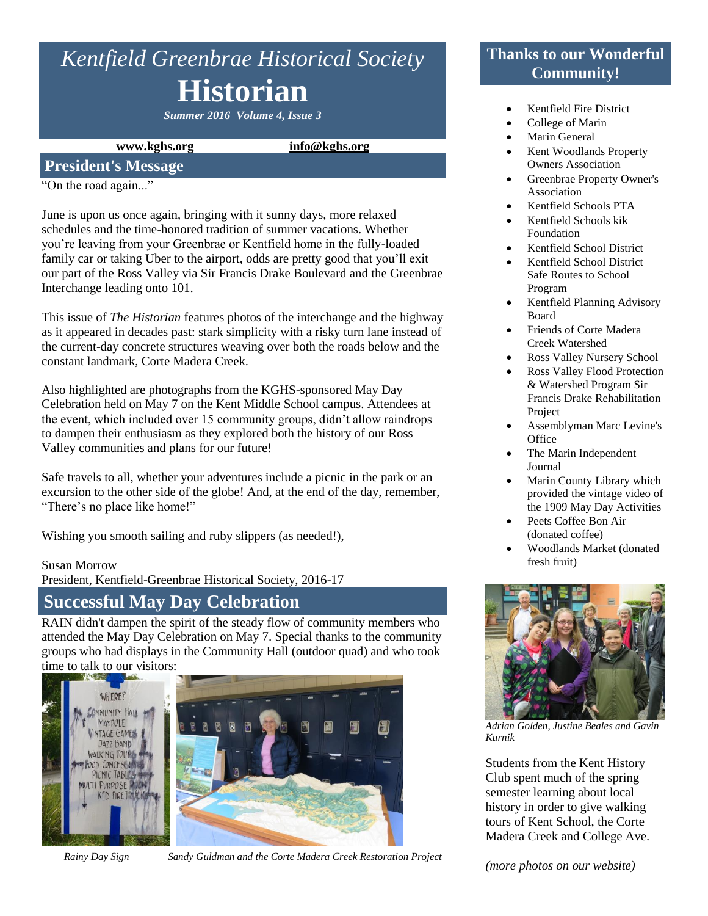# *Kentfield Greenbrae Historical Society* **Historian**

*Summer 2016 Volume 4, Issue 3*

**www.kghs.org [info@kghs.org](mailto:info@kghs.org)**

### **President's Message**

"On the road again..."

June is upon us once again, bringing with it sunny days, more relaxed schedules and the time-honored tradition of summer vacations. Whether you're leaving from your Greenbrae or Kentfield home in the fully-loaded family car or taking Uber to the airport, odds are pretty good that you'll exit our part of the Ross Valley via Sir Francis Drake Boulevard and the Greenbrae Interchange leading onto 101.

This issue of *The Historian* features photos of the interchange and the highway as it appeared in decades past: stark simplicity with a risky turn lane instead of the current-day concrete structures weaving over both the roads below and the constant landmark, Corte Madera Creek.

Also highlighted are photographs from the KGHS-sponsored May Day Celebration held on May 7 on the Kent Middle School campus. Attendees at the event, which included over 15 community groups, didn't allow raindrops to dampen their enthusiasm as they explored both the history of our Ross Valley communities and plans for our future!

Safe travels to all, whether your adventures include a picnic in the park or an excursion to the other side of the globe! And, at the end of the day, remember, "There's no place like home!"

Wishing you smooth sailing and ruby slippers (as needed!),

#### Susan Morrow

President, Kentfield-Greenbrae Historical Society, 2016-17

# **Successful May Day Celebration**

RAIN didn't dampen the spirit of the steady flow of community members who attended the May Day Celebration on May 7. Special thanks to the community groups who had displays in the Community Hall (outdoor quad) and who took time to talk to our visitors:



*Rainy Day Sign Sandy Guldman and the Corte Madera Creek Restoration Project*

# **Thanks to our Wonderful Community!**

- Kentfield Fire District
- College of Marin
- Marin General
- Kent Woodlands Property Owners Association
- Greenbrae Property Owner's Association
- Kentfield Schools PTA
- Kentfield Schools kik Foundation
- Kentfield School District
- Kentfield School District Safe Routes to School Program
- Kentfield Planning Advisory Board
- Friends of Corte Madera Creek Watershed
- Ross Valley Nursery School
- Ross Valley Flood Protection & Watershed Program Sir Francis Drake Rehabilitation Project
- Assemblyman Marc Levine's **Office**
- The Marin Independent Journal
- Marin County Library which provided the vintage video of the 1909 May Day Activities
- Peets Coffee Bon Air (donated coffee)
- Woodlands Market (donated fresh fruit)



*Adrian Golden, Justine Beales and Gavin Kurnik*

Students from the Kent History Club spent much of the spring semester learning about local history in order to give walking tours of Kent School, the Corte Madera Creek and College Ave.

*(more photos on our website)*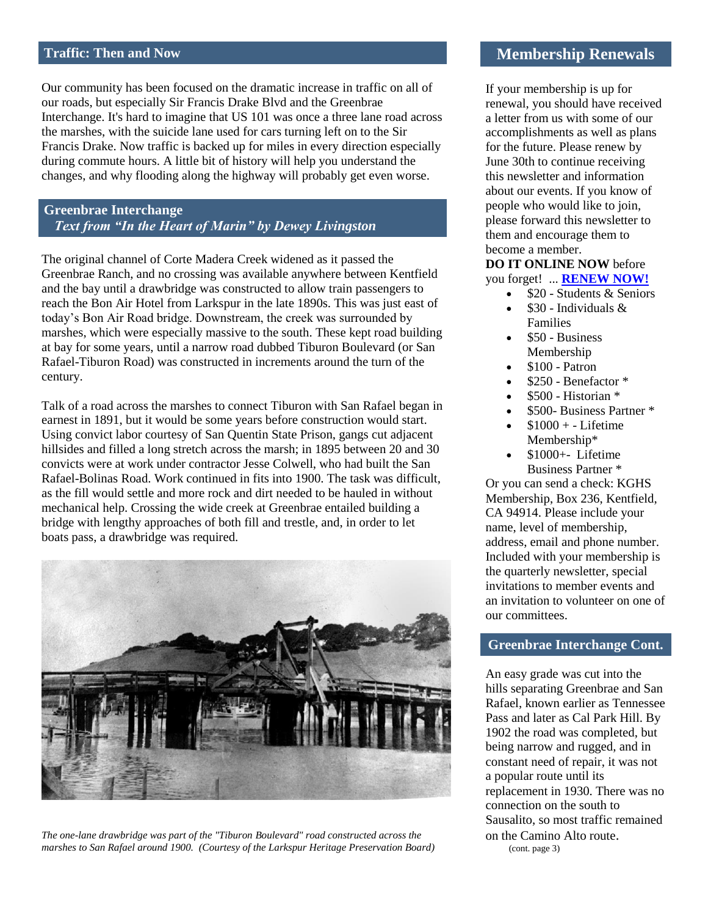#### **Traffic: Then and Now**

Our community has been focused on the dramatic increase in traffic on all of our roads, but especially Sir Francis Drake Blvd and the Greenbrae Interchange. It's hard to imagine that US 101 was once a three lane road across the marshes, with the suicide lane used for cars turning left on to the Sir Francis Drake. Now traffic is backed up for miles in every direction especially during commute hours. A little bit of history will help you understand the changes, and why flooding along the highway will probably get even worse.

**Greenbrae Interchange** *Text from "In the Heart of Marin" by Dewey Livingston*

The original channel of Corte Madera Creek widened as it passed the Greenbrae Ranch, and no crossing was available anywhere between Kentfield and the bay until a drawbridge was constructed to allow train passengers to reach the Bon Air Hotel from Larkspur in the late 1890s. This was just east of today's Bon Air Road bridge. Downstream, the creek was surrounded by marshes, which were especially massive to the south. These kept road building at bay for some years, until a narrow road dubbed Tiburon Boulevard (or San Rafael-Tiburon Road) was constructed in increments around the turn of the century.

Talk of a road across the marshes to connect Tiburon with San Rafael began in earnest in 1891, but it would be some years before construction would start. Using convict labor courtesy of San Quentin State Prison, gangs cut adjacent hillsides and filled a long stretch across the marsh; in 1895 between 20 and 30 convicts were at work under contractor Jesse Colwell, who had built the San Rafael-Bolinas Road. Work continued in fits into 1900. The task was difficult, as the fill would settle and more rock and dirt needed to be hauled in without mechanical help. Crossing the wide creek at Greenbrae entailed building a bridge with lengthy approaches of both fill and trestle, and, in order to let boats pass, a drawbridge was required.



*The one-lane drawbridge was part of the "Tiburon Boulevard" road constructed across the marshes to San Rafael around 1900. (Courtesy of the Larkspur Heritage Preservation Board)*

#### **Membership Renewals**

If your membership is up for renewal, you should have received a letter from us with some of our accomplishments as well as plans for the future. Please renew by June 30th to continue receiving this newsletter and information about our events. If you know of people who would like to join, please forward this newsletter to them and encourage them to become a member.

#### **DO IT ONLINE NOW** before you forget! ... **[RENEW NOW!](http://www.kghs.org/#%21membership/c11kz)**

- $\bullet$  \$20 Students & Seniors
- \$30 Individuals & Families
- $\bullet$  \$50 Business Membership
- \$100 Patron
- \$250 Benefactor \*
- \$500 Historian \*
- \$500- Business Partner \*
- $$1000 + Lifetime$ Membership\*
- \$1000+- Lifetime Business Partner \*

Or you can send a check: KGHS Membership, Box 236, Kentfield, CA 94914. Please include your name, level of membership, address, email and phone number. Included with your membership is the quarterly newsletter, special invitations to member events and an invitation to volunteer on one of our committees.

#### **Greenbrae Interchange Cont.**

An easy grade was cut into the hills separating Greenbrae and San Rafael, known earlier as Tennessee Pass and later as Cal Park Hill. By 1902 the road was completed, but being narrow and rugged, and in constant need of repair, it was not a popular route until its replacement in 1930. There was no connection on the south to Sausalito, so most traffic remained on the Camino Alto route. (cont. page 3)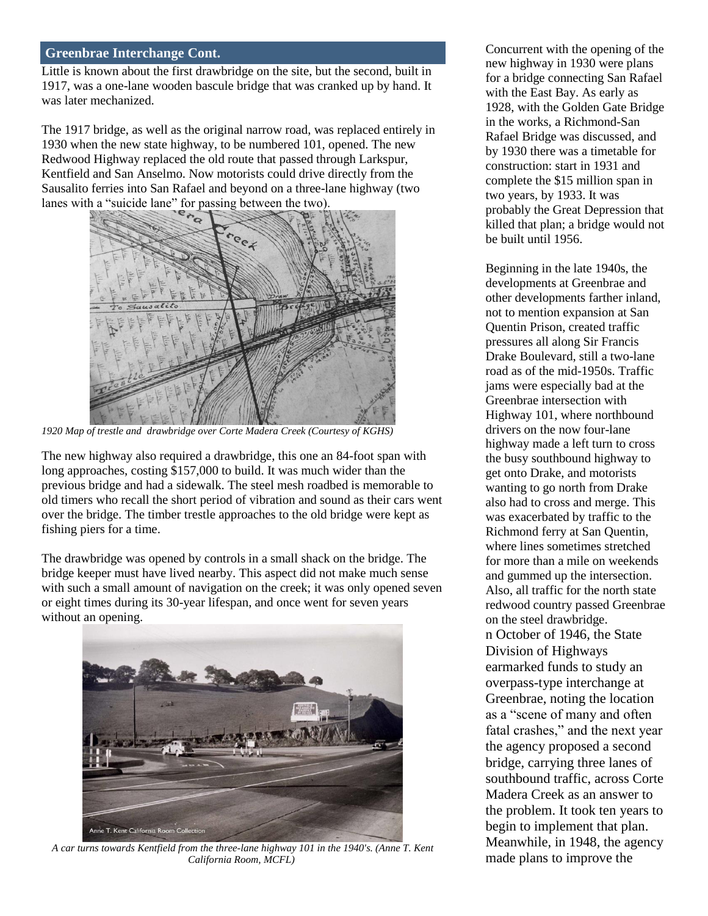#### **Greenbrae Interchange Cont.**

Little is known about the first drawbridge on the site, but the second, built in 1917, was a one-lane wooden bascule bridge that was cranked up by hand. It was later mechanized.

The 1917 bridge, as well as the original narrow road, was replaced entirely in 1930 when the new state highway, to be numbered 101, opened. The new Redwood Highway replaced the old route that passed through Larkspur, Kentfield and San Anselmo. Now motorists could drive directly from the Sausalito ferries into San Rafael and beyond on a three-lane highway (two lanes with a "suicide lane" for passing between the two).



*1920 Map of trestle and drawbridge over Corte Madera Creek (Courtesy of KGHS)*

The new highway also required a drawbridge, this one an 84-foot span with long approaches, costing \$157,000 to build. It was much wider than the previous bridge and had a sidewalk. The steel mesh roadbed is memorable to old timers who recall the short period of vibration and sound as their cars went over the bridge. The timber trestle approaches to the old bridge were kept as fishing piers for a time.

The drawbridge was opened by controls in a small shack on the bridge. The bridge keeper must have lived nearby. This aspect did not make much sense with such a small amount of navigation on the creek; it was only opened seven or eight times during its 30-year lifespan, and once went for seven years without an opening.



*A car turns towards Kentfield from the three-lane highway 101 in the 1940's. (Anne T. Kent California Room, MCFL)*

Concurrent with the opening of the new highway in 1930 were plans for a bridge connecting San Rafael with the East Bay. As early as 1928, with the Golden Gate Bridge in the works, a Richmond-San Rafael Bridge was discussed, and by 1930 there was a timetable for construction: start in 1931 and complete the \$15 million span in two years, by 1933. It was probably the Great Depression that killed that plan; a bridge would not be built until 1956.

Beginning in the late 1940s, the developments at Greenbrae and other developments farther inland, not to mention expansion at San Quentin Prison, created traffic pressures all along Sir Francis Drake Boulevard, still a two-lane road as of the mid-1950s. Traffic jams were especially bad at the Greenbrae intersection with Highway 101, where northbound drivers on the now four-lane highway made a left turn to cross the busy southbound highway to get onto Drake, and motorists wanting to go north from Drake also had to cross and merge. This was exacerbated by traffic to the Richmond ferry at San Quentin, where lines sometimes stretched for more than a mile on weekends and gummed up the intersection. Also, all traffic for the north state redwood country passed Greenbrae on the steel drawbridge. n October of 1946, the State Division of Highways earmarked funds to study an overpass-type interchange at Greenbrae, noting the location as a "scene of many and often fatal crashes," and the next year the agency proposed a second bridge, carrying three lanes of southbound traffic, across Corte Madera Creek as an answer to the problem. It took ten years to begin to implement that plan. Meanwhile, in 1948, the agency made plans to improve the